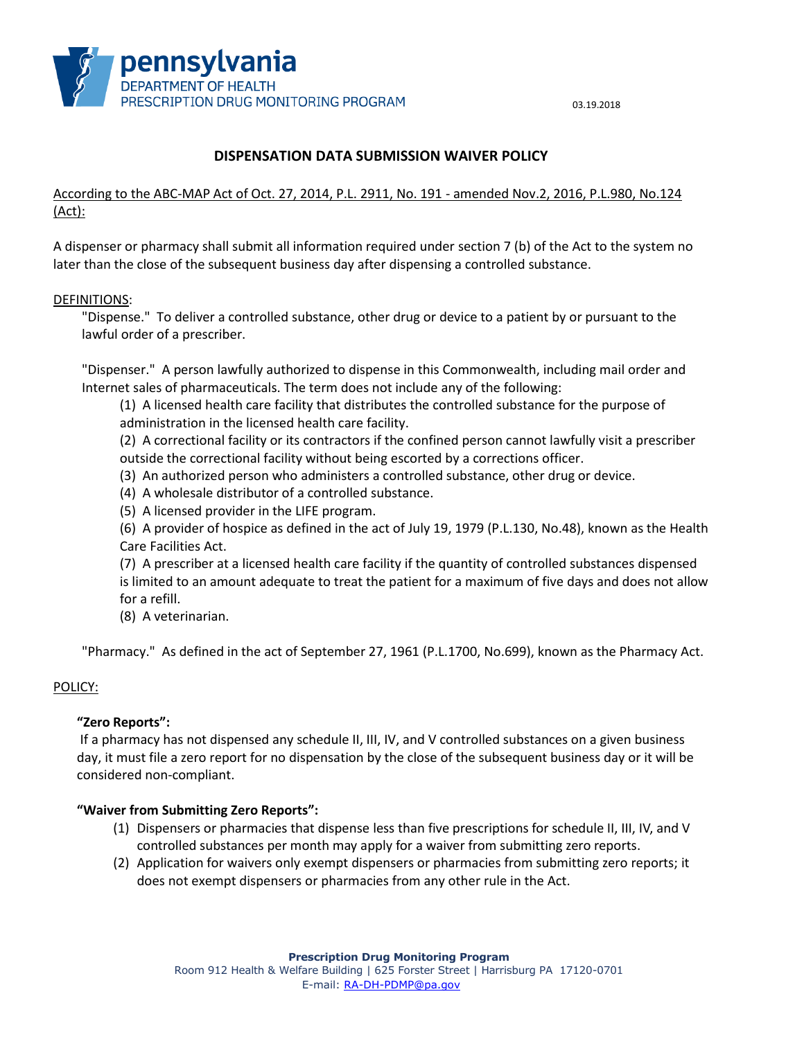

# **DISPENSATION DATA SUBMISSION WAIVER POLICY**

## According to the ABC-MAP Act of Oct. 27, 2014, P.L. 2911, No. 191 - amended Nov.2, 2016, P.L.980, No.124 (Act):

A dispenser or pharmacy shall submit all information required under section 7 (b) of the Act to the system no later than the close of the subsequent business day after dispensing a controlled substance.

#### DEFINITIONS:

"Dispense." To deliver a controlled substance, other drug or device to a patient by or pursuant to the lawful order of a prescriber.

"Dispenser." A person lawfully authorized to dispense in this Commonwealth, including mail order and Internet sales of pharmaceuticals. The term does not include any of the following:

(1) A licensed health care facility that distributes the controlled substance for the purpose of administration in the licensed health care facility.

(2) A correctional facility or its contractors if the confined person cannot lawfully visit a prescriber outside the correctional facility without being escorted by a corrections officer.

- (3) An authorized person who administers a controlled substance, other drug or device.
- (4) A wholesale distributor of a controlled substance.
- (5) A licensed provider in the LIFE program.

(6) A provider of hospice as defined in the act of July 19, 1979 (P.L.130, No.48), known as the Health Care Facilities Act.

(7) A prescriber at a licensed health care facility if the quantity of controlled substances dispensed is limited to an amount adequate to treat the patient for a maximum of five days and does not allow for a refill.

(8) A veterinarian.

"Pharmacy." As defined in the act of September 27, 1961 (P.L.1700, No.699), known as the Pharmacy Act.

#### POLICY:

#### **"Zero Reports":**

If a pharmacy has not dispensed any schedule II, III, IV, and V controlled substances on a given business day, it must file a zero report for no dispensation by the close of the subsequent business day or it will be considered non-compliant.

#### **"Waiver from Submitting Zero Reports":**

- (1) Dispensers or pharmacies that dispense less than five prescriptions for schedule II, III, IV, and V controlled substances per month may apply for a waiver from submitting zero reports.
- (2) Application for waivers only exempt dispensers or pharmacies from submitting zero reports; it does not exempt dispensers or pharmacies from any other rule in the Act.